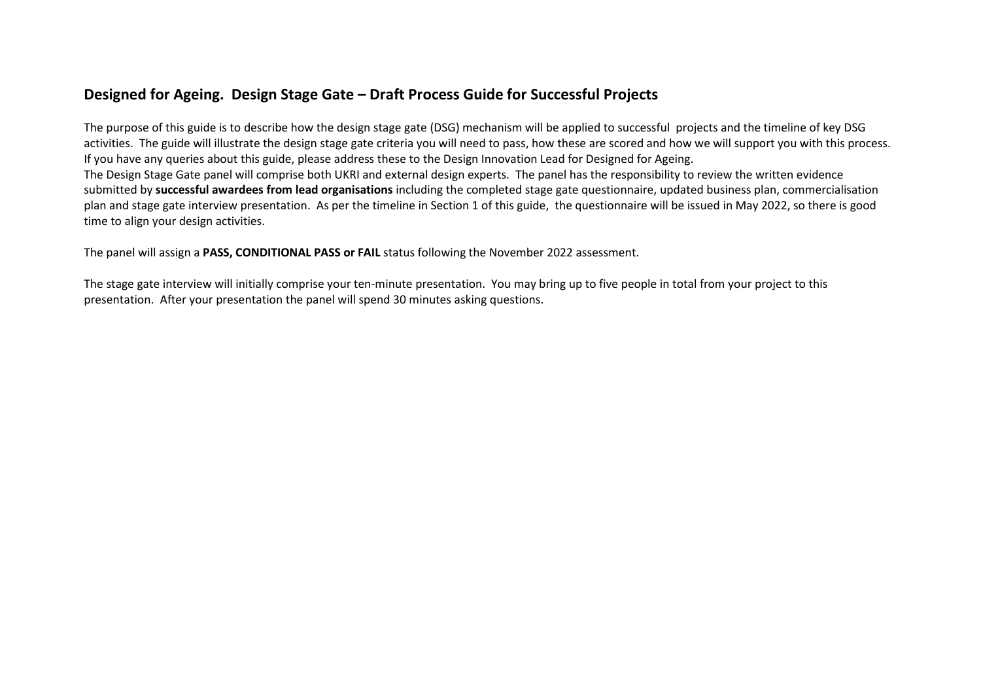# **Designed for Ageing. Design Stage Gate – Draft Process Guide for Successful Projects**

The purpose of this guide is to describe how the design stage gate (DSG) mechanism will be applied to successful projects and the timeline of key DSG activities. The guide will illustrate the design stage gate criteria you will need to pass, how these are scored and how we will support you with this process. If you have any queries about this guide, please address these to the Design Innovation Lead for Designed for Ageing. The Design Stage Gate panel will comprise both UKRI and external design experts. The panel has the responsibility to review the written evidence submitted by **successful awardees from lead organisations** including the completed stage gate questionnaire, updated business plan, commercialisation plan and stage gate interview presentation. As per the timeline in Section 1 of this guide, the questionnaire will be issued in May 2022, so there is good time to align your design activities.

The panel will assign a **PASS, CONDITIONAL PASS or FAIL** status following the November 2022 assessment.

The stage gate interview will initially comprise your ten-minute presentation. You may bring up to five people in total from your project to this presentation. After your presentation the panel will spend 30 minutes asking questions.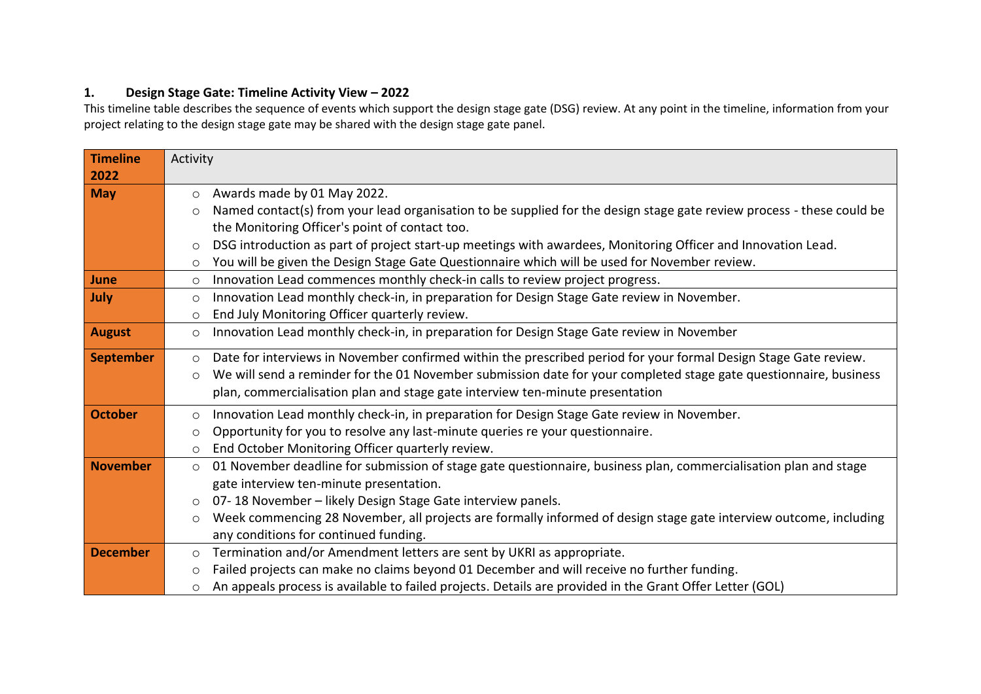## **1. Design Stage Gate: Timeline Activity View – 2022**

This timeline table describes the sequence of events which support the design stage gate (DSG) review. At any point in the timeline, information from your project relating to the design stage gate may be shared with the design stage gate panel.

| <b>Timeline</b>  | Activity                                                                                                                         |
|------------------|----------------------------------------------------------------------------------------------------------------------------------|
| 2022             |                                                                                                                                  |
| <b>May</b>       | Awards made by 01 May 2022.<br>$\circ$                                                                                           |
|                  | Named contact(s) from your lead organisation to be supplied for the design stage gate review process - these could be<br>$\circ$ |
|                  | the Monitoring Officer's point of contact too.                                                                                   |
|                  | DSG introduction as part of project start-up meetings with awardees, Monitoring Officer and Innovation Lead.<br>$\circ$          |
|                  | You will be given the Design Stage Gate Questionnaire which will be used for November review.<br>$\circ$                         |
| June             | Innovation Lead commences monthly check-in calls to review project progress.<br>$\circ$                                          |
| July             | Innovation Lead monthly check-in, in preparation for Design Stage Gate review in November.<br>$\circ$                            |
|                  | End July Monitoring Officer quarterly review.<br>$\circ$                                                                         |
| <b>August</b>    | Innovation Lead monthly check-in, in preparation for Design Stage Gate review in November<br>$\circ$                             |
| <b>September</b> | Date for interviews in November confirmed within the prescribed period for your formal Design Stage Gate review.<br>$\circ$      |
|                  | We will send a reminder for the 01 November submission date for your completed stage gate questionnaire, business<br>$\circ$     |
|                  | plan, commercialisation plan and stage gate interview ten-minute presentation                                                    |
| <b>October</b>   |                                                                                                                                  |
|                  | Innovation Lead monthly check-in, in preparation for Design Stage Gate review in November.<br>$\circ$                            |
|                  | Opportunity for you to resolve any last-minute queries re your questionnaire.<br>$\circ$                                         |
| <b>November</b>  | End October Monitoring Officer quarterly review.<br>$\circ$                                                                      |
|                  | 01 November deadline for submission of stage gate questionnaire, business plan, commercialisation plan and stage<br>$\circ$      |
|                  | gate interview ten-minute presentation.<br>07-18 November - likely Design Stage Gate interview panels.                           |
|                  | $\circ$                                                                                                                          |
|                  | Week commencing 28 November, all projects are formally informed of design stage gate interview outcome, including<br>$\circ$     |
|                  | any conditions for continued funding.                                                                                            |
| <b>December</b>  | Termination and/or Amendment letters are sent by UKRI as appropriate.<br>$\circ$                                                 |
|                  | Failed projects can make no claims beyond 01 December and will receive no further funding.<br>$\circ$                            |
|                  | An appeals process is available to failed projects. Details are provided in the Grant Offer Letter (GOL)<br>$\circ$              |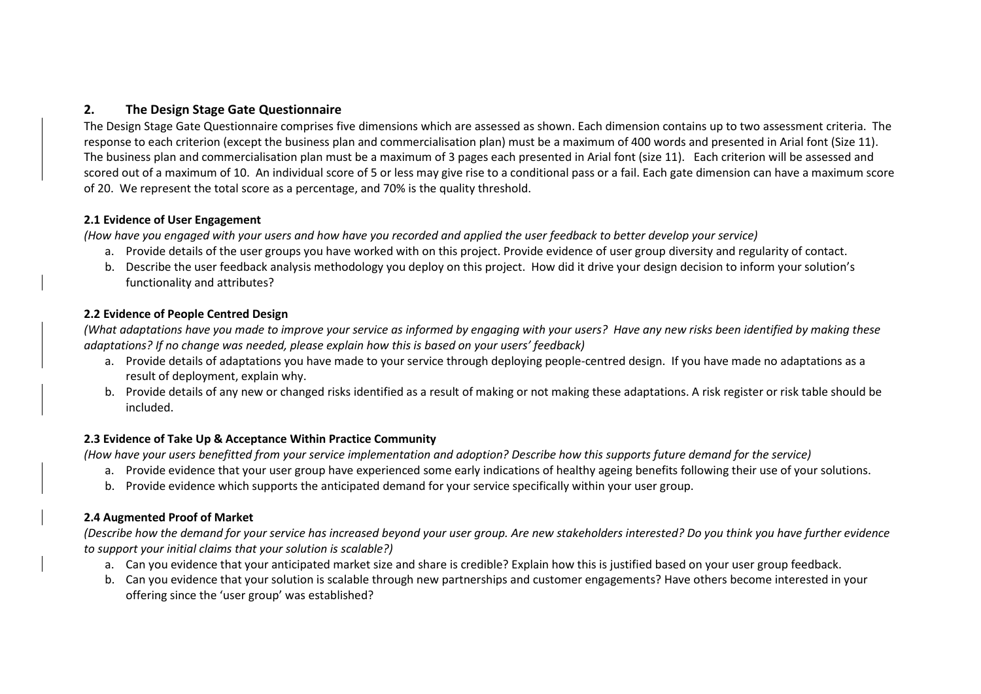## **2. The Design Stage Gate Questionnaire**

The Design Stage Gate Questionnaire comprises five dimensions which are assessed as shown. Each dimension contains up to two assessment criteria. The response to each criterion (except the business plan and commercialisation plan) must be a maximum of 400 words and presented in Arial font (Size 11). The business plan and commercialisation plan must be a maximum of 3 pages each presented in Arial font (size 11). Each criterion will be assessed and scored out of a maximum of 10. An individual score of 5 or less may give rise to a conditional pass or a fail. Each gate dimension can have a maximum score of 20. We represent the total score as a percentage, and 70% is the quality threshold.

#### **2.1 Evidence of User Engagement**

*(How have you engaged with your users and how have you recorded and applied the user feedback to better develop your service)*

- a. Provide details of the user groups you have worked with on this project. Provide evidence of user group diversity and regularity of contact.
- b. Describe the user feedback analysis methodology you deploy on this project. How did it drive your design decision to inform your solution's functionality and attributes?

#### **2.2 Evidence of People Centred Design**

*(What adaptations have you made to improve your service as informed by engaging with your users? Have any new risks been identified by making these adaptations? If no change was needed, please explain how this is based on your users' feedback)*

- a. Provide details of adaptations you have made to your service through deploying people-centred design. If you have made no adaptations as a result of deployment, explain why.
- b. Provide details of any new or changed risks identified as a result of making or not making these adaptations. A risk register or risk table should be included.

#### **2.3 Evidence of Take Up & Acceptance Within Practice Community**

*(How have your users benefitted from your service implementation and adoption? Describe how this supports future demand for the service)*

- a. Provide evidence that your user group have experienced some early indications of healthy ageing benefits following their use of your solutions.
- b. Provide evidence which supports the anticipated demand for your service specifically within your user group.

### **2.4 Augmented Proof of Market**

*(Describe how the demand for your service has increased beyond your user group. Are new stakeholders interested? Do you think you have further evidence to support your initial claims that your solution is scalable?)*

- a. Can you evidence that your anticipated market size and share is credible? Explain how this is justified based on your user group feedback.
- b. Can you evidence that your solution is scalable through new partnerships and customer engagements? Have others become interested in your offering since the 'user group' was established?